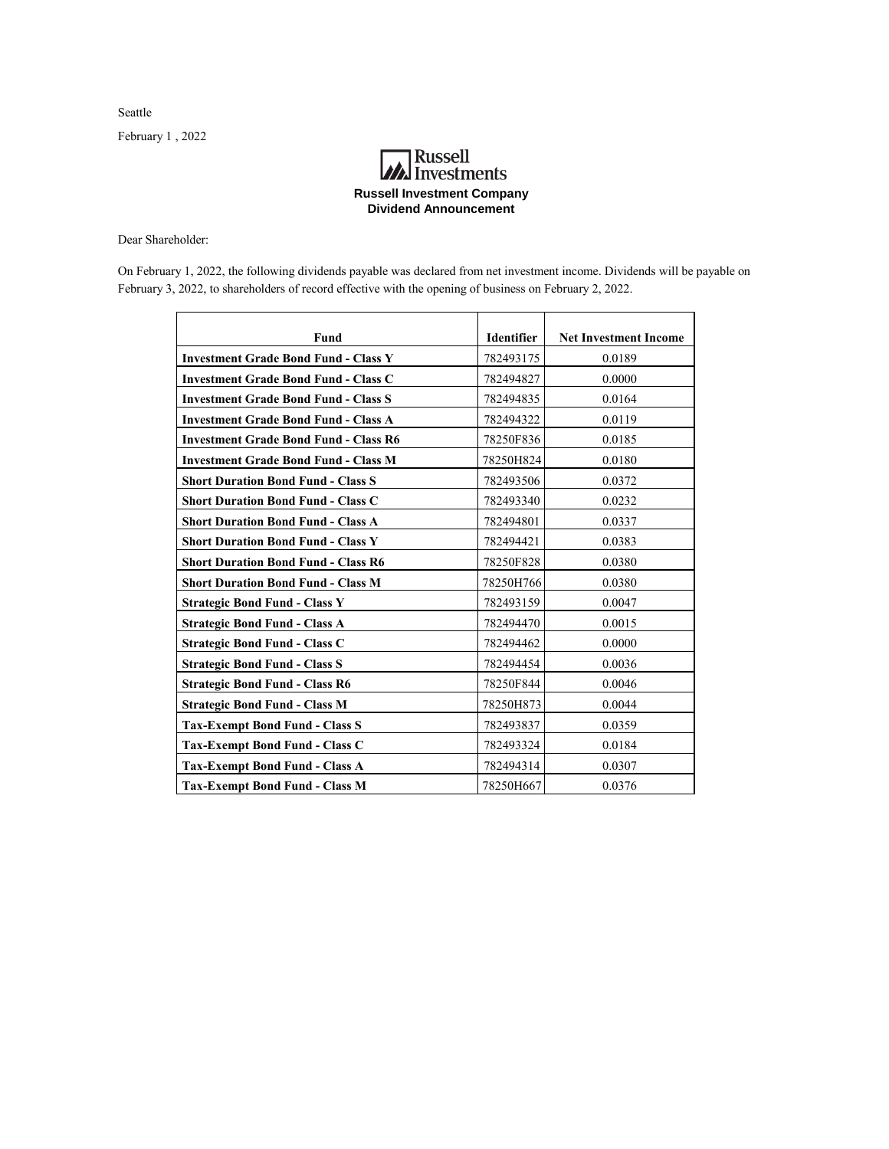Seattle

February 1 , 2022

## **A**<br>Investments **Russell Investment Company Dividend Announcement**

Dear Shareholder:

On February 1, 2022, the following dividends payable was declared from net investment income. Dividends will be payable on February 3, 2022, to shareholders of record effective with the opening of business on February 2, 2022.

| Fund                                         | <b>Identifier</b> | <b>Net Investment Income</b> |
|----------------------------------------------|-------------------|------------------------------|
| <b>Investment Grade Bond Fund - Class Y</b>  | 782493175         | 0.0189                       |
| <b>Investment Grade Bond Fund - Class C</b>  | 782494827         | 0.0000                       |
| <b>Investment Grade Bond Fund - Class S</b>  | 782494835         | 0.0164                       |
| <b>Investment Grade Bond Fund - Class A</b>  | 782494322         | 0.0119                       |
| <b>Investment Grade Bond Fund - Class R6</b> | 78250F836         | 0.0185                       |
| <b>Investment Grade Bond Fund - Class M</b>  | 78250H824         | 0.0180                       |
| <b>Short Duration Bond Fund - Class S</b>    | 782493506         | 0.0372                       |
| <b>Short Duration Bond Fund - Class C</b>    | 782493340         | 0.0232                       |
| <b>Short Duration Bond Fund - Class A</b>    | 782494801         | 0.0337                       |
| <b>Short Duration Bond Fund - Class Y</b>    | 782494421         | 0.0383                       |
| <b>Short Duration Bond Fund - Class R6</b>   | 78250F828         | 0.0380                       |
| <b>Short Duration Bond Fund - Class M</b>    | 78250H766         | 0.0380                       |
| <b>Strategic Bond Fund - Class Y</b>         | 782493159         | 0.0047                       |
| <b>Strategic Bond Fund - Class A</b>         | 782494470         | 0.0015                       |
| <b>Strategic Bond Fund - Class C</b>         | 782494462         | 0.0000                       |
| <b>Strategic Bond Fund - Class S</b>         | 782494454         | 0.0036                       |
| <b>Strategic Bond Fund - Class R6</b>        | 78250F844         | 0.0046                       |
| <b>Strategic Bond Fund - Class M</b>         | 78250H873         | 0.0044                       |
| <b>Tax-Exempt Bond Fund - Class S</b>        | 782493837         | 0.0359                       |
| <b>Tax-Exempt Bond Fund - Class C</b>        | 782493324         | 0.0184                       |
| <b>Tax-Exempt Bond Fund - Class A</b>        | 782494314         | 0.0307                       |
| <b>Tax-Exempt Bond Fund - Class M</b>        | 78250H667         | 0.0376                       |